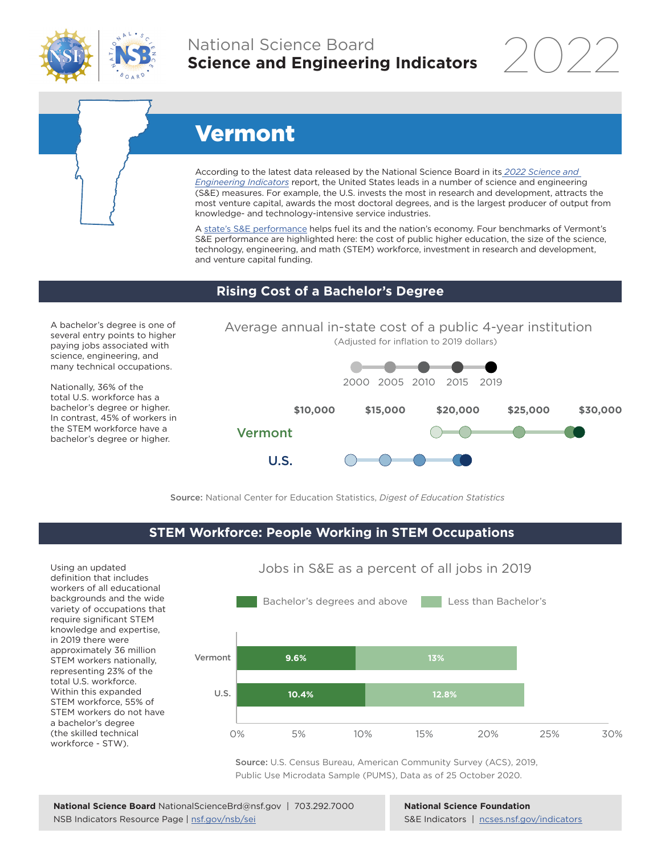

## National Science Board **Science and Engineering Indicators**

2022

# Vermont

According to the latest data released by the National Science Board in its *[2022 Science and](https://www.ncses.nsf.gov/indicators)  [Engineering Indicators](https://www.ncses.nsf.gov/indicators)* report, the United States leads in a number of science and engineering (S&E) measures. For example, the U.S. invests the most in research and development, attracts the most venture capital, awards the most doctoral degrees, and is the largest producer of output from knowledge- and technology-intensive service industries.

A state's S&E performance helps fuel its and the nation's economy. Four benchmarks of Vermont's S&E performance are highlighted here: the cost of public higher education, the size of the science, technology, engineering, and math (STEM) workforce, investment in research and development, and venture capital funding.

### **Rising Cost of a Bachelor's Degree**

A bachelor's degree is one of several entry points to higher paying jobs associated with science, engineering, and many technical occupations.

Nationally, 36% of the total U.S. workforce has a bachelor's degree or higher. In contrast, 45% of workers in the STEM workforce have a bachelor's degree or higher.

Average annual in-state cost of a public 4-year institution (Adjusted for inflation to 2019 dollars)



Source: National Center for Education Statistics, *Digest of Education Statistics*

#### **STEM Workforce: People Working in STEM Occupations**

Using an updated definition that includes workers of all educational backgrounds and the wide variety of occupations that require significant STEM knowledge and expertise, in 2019 there were approximately 36 million STEM workers nationally, representing 23% of the total U.S. workforce. Within this expanded STEM workforce, 55% of STEM workers do not have a bachelor's degree (the skilled technical workforce - STW).



Jobs in S&E as a percent of all jobs in 2019

Source: U.S. Census Bureau, American Community Survey (ACS), 2019, Public Use Microdata Sample (PUMS), Data as of 25 October 2020.

**National Science Foundation** S&E Indicators | [ncses.nsf.gov/indicators](https://www.ncses.nsf.gov/indicators)